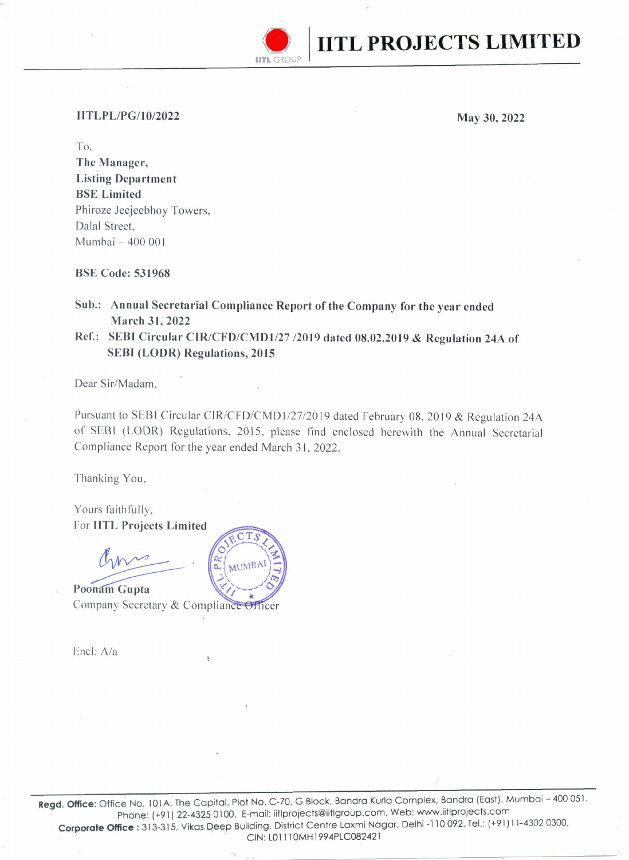

## **IITLPL/PG/10/2022**

**May 30,2022** 

To, **The Manager, Listing Department BSE Limited**  Phiroze Jeejeebhoy Towers, Dalal Street, Mumbai - 400 001

**BSE Code: 531968** 

**Sub.: Annual Secretarial Compliance Report of the Company for the year ended March 31,2022** 

**Ref.: SEBI Circular CIR/CFD/CMDl/27 12019 dated 08.02.2019** & **Regulation 24A of SEBI (LODR) Regulations, 2015** 

Dear Sir/Madam,

Pursuant to SEBI Circular CIR/CFD/CMD 1/27/20 **19** dated February 08, 20 19 & Regulation 24A of SEBI (LODR) Regulations, 2015, please find enclosed herewith the Annual Secretarial Compliance Report for the year ended March **3** I, 2022.

Thanking You,

Yours faithfully, For **IITL Projects Limited** 

Poonam Gupta Company Secretary & Compliance Officer

Encl: Ala

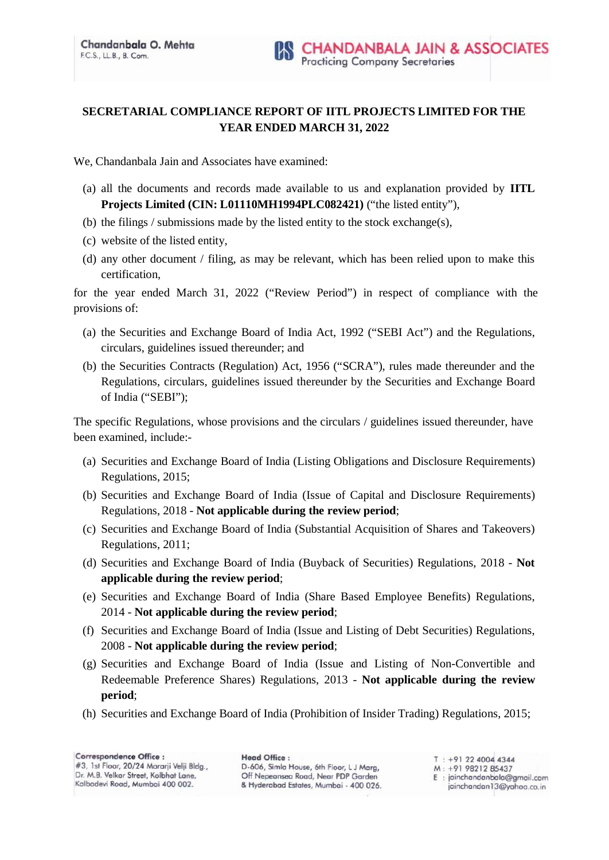## **SECRETARIAL COMPLIANCE REPORT OF IITL PROJECTS LIMITED FOR THE YEAR ENDED MARCH 31, 2022**

We, Chandanbala Jain and Associates have examined:

- (a) all the documents and records made available to us and explanation provided by **IITL Projects Limited (CIN: L01110MH1994PLC082421)** ("the listed entity"),
- (b) the filings / submissions made by the listed entity to the stock exchange(s),
- (c) website of the listed entity,
- (d) any other document / filing, as may be relevant, which has been relied upon to make this certification,

for the year ended March 31, 2022 ("Review Period") in respect of compliance with the provisions of:

- (a) the Securities and Exchange Board of India Act, 1992 ("SEBI Act") and the Regulations, circulars, guidelines issued thereunder; and
- (b) the Securities Contracts (Regulation) Act, 1956 ("SCRA"), rules made thereunder and the Regulations, circulars, guidelines issued thereunder by the Securities and Exchange Board of India ("SEBI");

The specific Regulations, whose provisions and the circulars / guidelines issued thereunder, have been examined, include:-

- (a) Securities and Exchange Board of India (Listing Obligations and Disclosure Requirements) Regulations, 2015;
- (b) Securities and Exchange Board of India (Issue of Capital and Disclosure Requirements) Regulations, 2018 - **Not applicable during the review period**;
- (c) Securities and Exchange Board of India (Substantial Acquisition of Shares and Takeovers) Regulations, 2011;
- (d) Securities and Exchange Board of India (Buyback of Securities) Regulations, 2018 **Not applicable during the review period**;
- (e) Securities and Exchange Board of India (Share Based Employee Benefits) Regulations, 2014 - **Not applicable during the review period**;
- (f) Securities and Exchange Board of India (Issue and Listing of Debt Securities) Regulations, 2008 - **Not applicable during the review period**;
- (g) Securities and Exchange Board of India (Issue and Listing of Non-Convertible and Redeemable Preference Shares) Regulations, 2013 - **Not applicable during the review period**;
- (h) Securities and Exchange Board of India (Prohibition of Insider Trading) Regulations, 2015;

**Head Office:** D-606, Simla House, 6th Floor, L J Marg, Off Nepeansea Road, Near PDP Garden & Hyderabad Estates, Mumbai - 400 026.

 $T : +912240044344$ M: +91 98212 85437 E: jainchandanbala@gmail.com jainchandan13@yahoo.co.in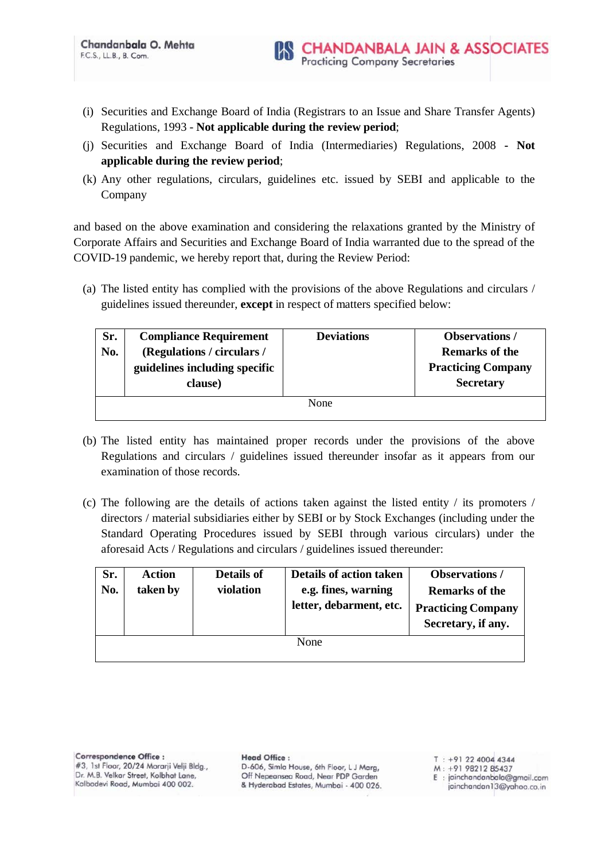- (i) Securities and Exchange Board of India (Registrars to an Issue and Share Transfer Agents) Regulations, 1993 - **Not applicable during the review period**;
- (j) Securities and Exchange Board of India (Intermediaries) Regulations, 2008 **- Not applicable during the review period**;
- (k) Any other regulations, circulars, guidelines etc. issued by SEBI and applicable to the Company

and based on the above examination and considering the relaxations granted by the Ministry of Corporate Affairs and Securities and Exchange Board of India warranted due to the spread of the COVID-19 pandemic, we hereby report that, during the Review Period:

(a) The listed entity has complied with the provisions of the above Regulations and circulars / guidelines issued thereunder, **except** in respect of matters specified below:

| Sr.<br>No. | <b>Compliance Requirement</b><br>(Regulations / circulars /<br>guidelines including specific<br>clause) | <b>Deviations</b> | <b>Observations</b> /<br><b>Remarks of the</b><br><b>Practicing Company</b><br><b>Secretary</b> |
|------------|---------------------------------------------------------------------------------------------------------|-------------------|-------------------------------------------------------------------------------------------------|
|            |                                                                                                         | None              |                                                                                                 |

- (b) The listed entity has maintained proper records under the provisions of the above Regulations and circulars / guidelines issued thereunder insofar as it appears from our examination of those records.
- (c) The following are the details of actions taken against the listed entity / its promoters / directors / material subsidiaries either by SEBI or by Stock Exchanges (including under the Standard Operating Procedures issued by SEBI through various circulars) under the aforesaid Acts / Regulations and circulars / guidelines issued thereunder:

| Sr.<br>No. | <b>Action</b><br>taken by | <b>Details of</b><br>violation | Details of action taken<br>e.g. fines, warning<br>letter, debarment, etc. | <b>Observations</b> /<br><b>Remarks of the</b><br><b>Practicing Company</b><br>Secretary, if any. |  |
|------------|---------------------------|--------------------------------|---------------------------------------------------------------------------|---------------------------------------------------------------------------------------------------|--|
| None       |                           |                                |                                                                           |                                                                                                   |  |

**Head Office:** D-606, Simla House, 6th Floor, L J Marg, Off Nepeansea Road, Near PDP Garden & Hyderabad Estates, Mumbai - 400 026.

 $T : +912240044344$ M: +91 98212 85437

E: jainchandanbala@gmail.com jainchandan13@yahoo.co.in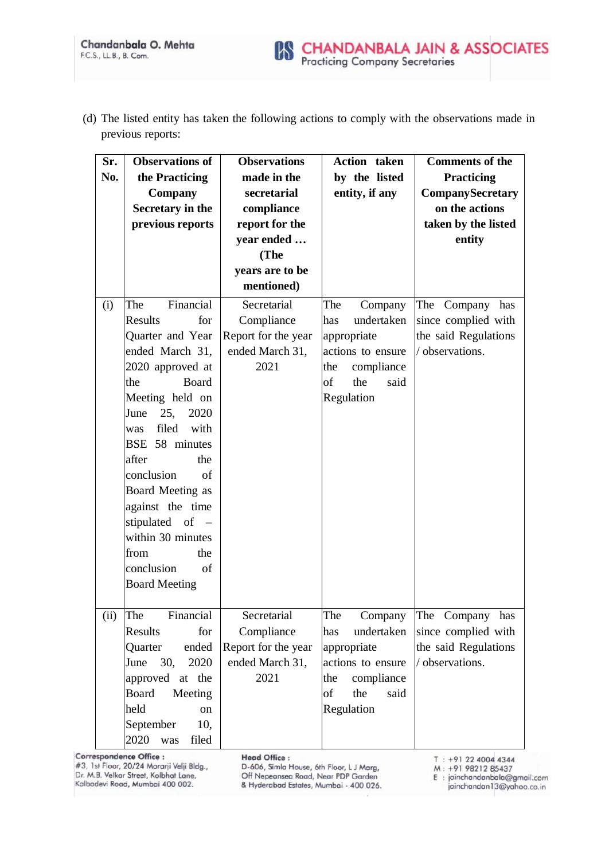(d) The listed entity has taken the following actions to comply with the observations made in previous reports:

| Sr.  | <b>Observations of</b>  | <b>Observations</b> | <b>Action</b> taken | <b>Comments of the</b>  |
|------|-------------------------|---------------------|---------------------|-------------------------|
| No.  | the Practicing          | made in the         | by the listed       | <b>Practicing</b>       |
|      | Company                 | secretarial         | entity, if any      | <b>CompanySecretary</b> |
|      | Secretary in the        | compliance          |                     | on the actions          |
|      | previous reports        | report for the      |                     | taken by the listed     |
|      |                         | year ended          |                     | entity                  |
|      |                         | (The                |                     |                         |
|      |                         | years are to be     |                     |                         |
|      |                         | mentioned)          |                     |                         |
| (i)  | Financial<br>The        | Secretarial         | The<br>Company      | The Company has         |
|      | Results<br>for          | Compliance          | undertaken<br>has   | since complied with     |
|      | Quarter and Year        | Report for the year | appropriate         | the said Regulations    |
|      | ended March 31,         | ended March 31,     | actions to ensure   | / observations.         |
|      | 2020 approved at        | 2021                | the<br>compliance   |                         |
|      | <b>Board</b><br>the     |                     | of<br>the<br>said   |                         |
|      | Meeting held on         |                     | Regulation          |                         |
|      | 25,<br>2020<br>June     |                     |                     |                         |
|      | filed<br>with<br>was    |                     |                     |                         |
|      | BSE 58 minutes          |                     |                     |                         |
|      | after<br>the            |                     |                     |                         |
|      | conclusion<br>of        |                     |                     |                         |
|      | Board Meeting as        |                     |                     |                         |
|      | against the time        |                     |                     |                         |
|      | stipulated of -         |                     |                     |                         |
|      | within 30 minutes       |                     |                     |                         |
|      | the<br>from             |                     |                     |                         |
|      | conclusion<br>of        |                     |                     |                         |
|      | <b>Board Meeting</b>    |                     |                     |                         |
|      |                         |                     |                     |                         |
| (ii) | Financial<br>The        | Secretarial         | The<br>Company      | The Company has         |
|      | Results<br>for          | Compliance          | undertaken<br>has   | since complied with     |
|      | Quarter<br>ended        | Report for the year | appropriate         | the said Regulations    |
|      | June<br>30,<br>2020     | ended March 31,     | actions to ensure   | / observations.         |
|      | approved at the         | 2021                | compliance<br>the   |                         |
|      | <b>Board</b><br>Meeting |                     | the<br>of<br>said   |                         |
|      | held<br>on              |                     | Regulation          |                         |
|      | September<br>10,        |                     |                     |                         |
|      | 2020<br>filed<br>was    |                     |                     |                         |

Correspondence Office :

#3, 1st Floor, 20/24 Morarji Velji Bldg., Dr. M.B. Velkar Street, Kolbhat Lane, Kalbadevi Road, Mumbai 400 002.

**Head Office:** 

D-606, Simla House, 6th Floor, LJ Marg,<br>Off Nepeansea Road, Near PDP Garden & Hyderabad Estates, Mumbai - 400 026. T: +91 22 4004 4344<br>M: +91 98212 85437

E: jainchandanbala@gmail.com jainchandan13@yahoo.co.in